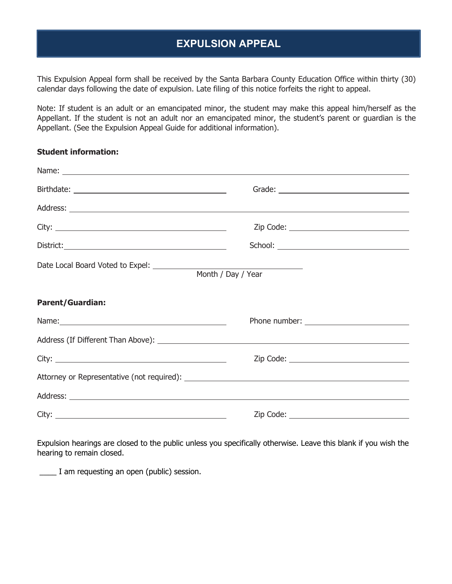## **EXPULSION APPEAL**

This Expulsion Appeal form shall be received by the Santa Barbara County Education Office within thirty (30) calendar days following the date of expulsion. Late filing of this notice forfeits the right to appeal.

Note: If student is an adult or an emancipated minor, the student may make this appeal him/herself as the Appellant. If the student is not an adult nor an emancipated minor, the student's parent or guardian is the Appellant. (See the Expulsion Appeal Guide for additional information).

## **Student information:**

|                         | Zip Code: ________________________________                              |
|-------------------------|-------------------------------------------------------------------------|
|                         |                                                                         |
|                         | <u> 1989 - Johann Barnett, fransk politiker (</u><br>Month / Day / Year |
| <b>Parent/Guardian:</b> |                                                                         |
|                         |                                                                         |
|                         |                                                                         |
|                         |                                                                         |
|                         |                                                                         |
|                         |                                                                         |
|                         |                                                                         |

Expulsion hearings are closed to the public unless you specifically otherwise. Leave this blank if you wish the hearing to remain closed.

\_\_\_\_ I am requesting an open (public) session.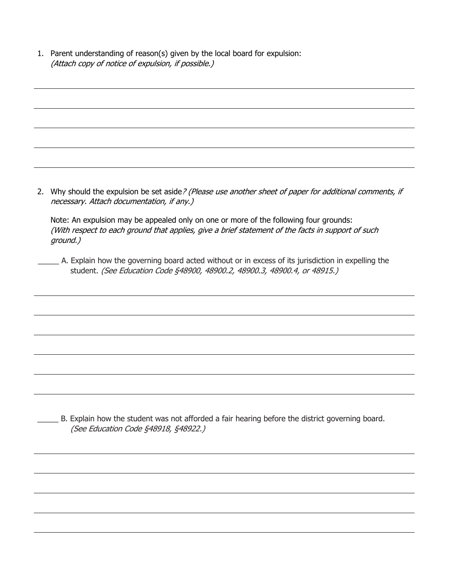1. Parent understanding of reason(s) given by the local board for expulsion: (Attach copy of notice of expulsion, if possible.)

2. Why should the expulsion be set aside? (Please use another sheet of paper for additional comments, if necessary. Attach documentation, if any.)

Note: An expulsion may be appealed only on one or more of the following four grounds: (With respect to each ground that applies, give a brief statement of the facts in support of such ground.)

\_\_\_\_\_ A. Explain how the governing board acted without or in excess of its jurisdiction in expelling the student. (See Education Code §48900, 48900.2, 48900.3, 48900.4, or 48915.)

\_\_\_\_\_ B. Explain how the student was not afforded a fair hearing before the district governing board. (See Education Code §48918, §48922.)